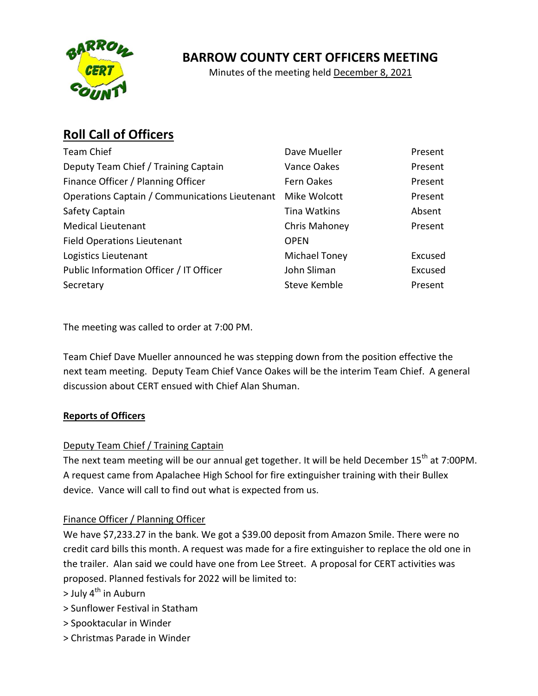

## **BARROW COUNTY CERT OFFICERS MEETING**

Minutes of the meeting held December 8, 2021

# **Roll Call of Officers**

| Dave Mueller  | Present |
|---------------|---------|
| Vance Oakes   | Present |
| Fern Oakes    | Present |
| Mike Wolcott  | Present |
| Tina Watkins  | Absent  |
| Chris Mahoney | Present |
| <b>OPEN</b>   |         |
| Michael Toney | Excused |
| John Sliman   | Excused |
| Steve Kemble  | Present |
|               |         |

The meeting was called to order at 7:00 PM.

Team Chief Dave Mueller announced he was stepping down from the position effective the next team meeting. Deputy Team Chief Vance Oakes will be the interim Team Chief. A general discussion about CERT ensued with Chief Alan Shuman.

## **Reports of Officers**

## Deputy Team Chief / Training Captain

The next team meeting will be our annual get together. It will be held December 15<sup>th</sup> at 7:00PM. A request came from Apalachee High School for fire extinguisher training with their Bullex device. Vance will call to find out what is expected from us.

## Finance Officer / Planning Officer

We have \$7,233.27 in the bank. We got a \$39.00 deposit from Amazon Smile. There were no credit card bills this month. A request was made for a fire extinguisher to replace the old one in the trailer. Alan said we could have one from Lee Street. A proposal for CERT activities was proposed. Planned festivals for 2022 will be limited to:

- $>$  July 4<sup>th</sup> in Auburn
- > Sunflower Festival in Statham
- > Spooktacular in Winder
- > Christmas Parade in Winder